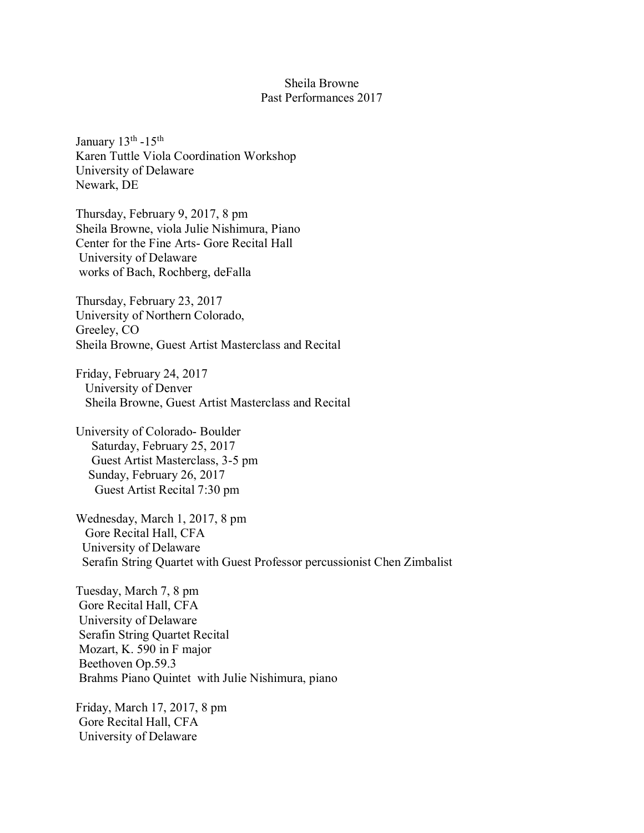## Sheila Browne Past Performances 2017

January 13<sup>th</sup> -15<sup>th</sup> Karen Tuttle Viola Coordination Workshop University of Delaware Newark, DE

Thursday, February 9, 2017, 8 pm Sheila Browne, viola Julie Nishimura, Piano Center for the Fine Arts- Gore Recital Hall University of Delaware works of Bach, Rochberg, deFalla

Thursday, February 23, 2017 University of Northern Colorado, Greeley, CO Sheila Browne, Guest Artist Masterclass and Recital

Friday, February 24, 2017 University of Denver Sheila Browne, Guest Artist Masterclass and Recital

University of Colorado- Boulder Saturday, February 25, 2017 Guest Artist Masterclass, 3-5 pm Sunday, February 26, 2017 Guest Artist Recital 7:30 pm

Wednesday, March 1, 2017, 8 pm Gore Recital Hall, CFA University of Delaware Serafin String Quartet with Guest Professor percussionist Chen Zimbalist

Tuesday, March 7, 8 pm Gore Recital Hall, CFA University of Delaware Serafin String Quartet Recital Mozart, K. 590 in F major Beethoven Op.59.3 Brahms Piano Quintet with Julie Nishimura, piano

Friday, March 17, 2017, 8 pm Gore Recital Hall, CFA University of Delaware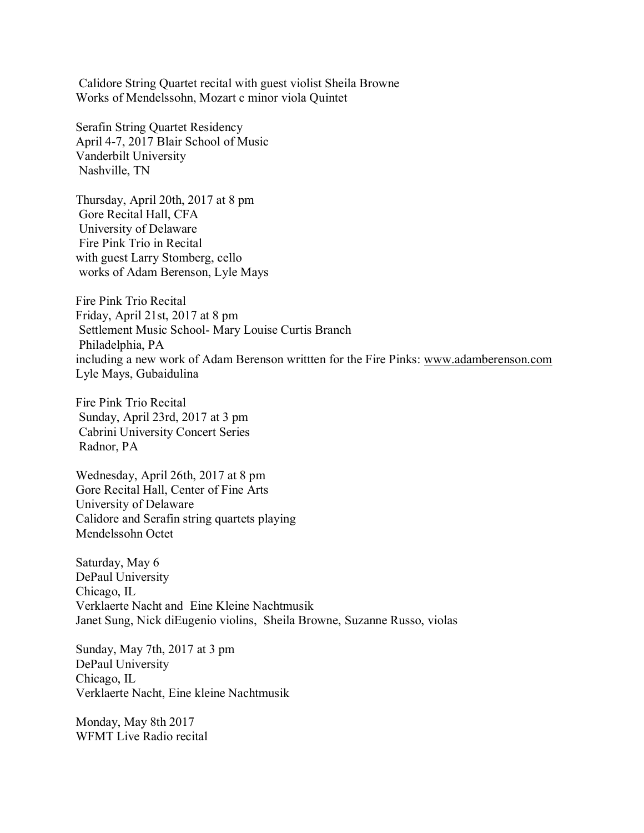Calidore String Quartet recital with guest violist Sheila Browne Works of Mendelssohn, Mozart c minor viola Quintet

Serafin String Quartet Residency April 4-7, 2017 Blair School of Music Vanderbilt University Nashville, TN

Thursday, April 20th, 2017 at 8 pm Gore Recital Hall, CFA University of Delaware Fire Pink Trio in Recital with guest Larry Stomberg, cello works of Adam Berenson, Lyle Mays

Fire Pink Trio Recital Friday, April 21st, 2017 at 8 pm Settlement Music School- Mary Louise Curtis Branch Philadelphia, PA including a new work of Adam Berenson writtten for the Fire Pinks: www.adamberenson.com Lyle Mays, Gubaidulina

Fire Pink Trio Recital Sunday, April 23rd, 2017 at 3 pm Cabrini University Concert Series Radnor, PA

Wednesday, April 26th, 2017 at 8 pm Gore Recital Hall, Center of Fine Arts University of Delaware Calidore and Serafin string quartets playing Mendelssohn Octet

Saturday, May 6 DePaul University Chicago, IL Verklaerte Nacht and Eine Kleine Nachtmusik Janet Sung, Nick diEugenio violins, Sheila Browne, Suzanne Russo, violas

Sunday, May 7th, 2017 at 3 pm DePaul University Chicago, IL Verklaerte Nacht, Eine kleine Nachtmusik

Monday, May 8th 2017 WFMT Live Radio recital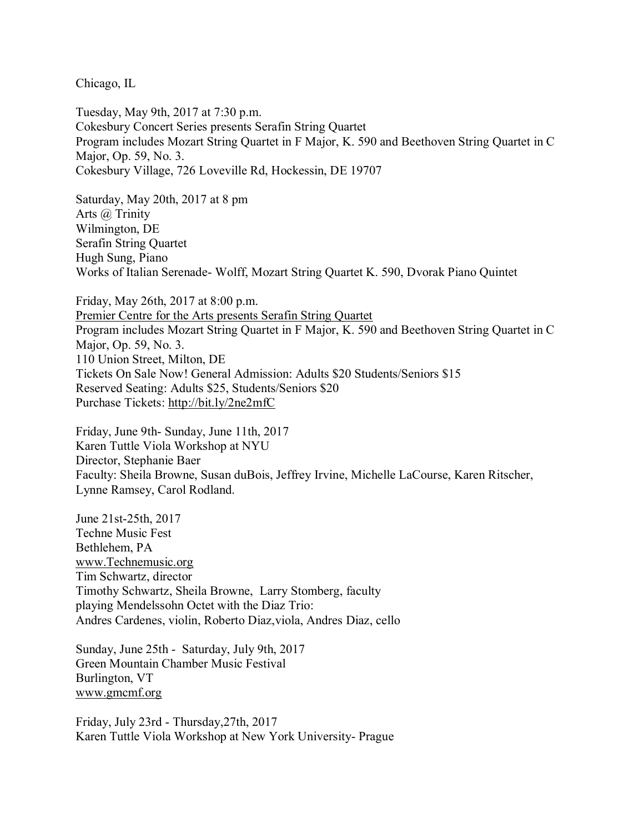Chicago, IL

Tuesday, May 9th, 2017 at 7:30 p.m. Cokesbury Concert Series presents Serafin String Quartet Program includes Mozart String Quartet in F Major, K. 590 and Beethoven String Quartet in C Major, Op. 59, No. 3. Cokesbury Village, 726 Loveville Rd, Hockessin, DE 19707

Saturday, May 20th, 2017 at 8 pm Arts @ Trinity Wilmington, DE Serafin String Quartet Hugh Sung, Piano Works of Italian Serenade- Wolff, Mozart String Quartet K. 590, Dvorak Piano Quintet

Friday, May 26th, 2017 at 8:00 p.m. Premier Centre for the Arts presents Serafin String Quartet Program includes Mozart String Quartet in F Major, K. 590 and Beethoven String Quartet in C Major, Op. 59, No. 3. 110 Union Street, Milton, DE Tickets On Sale Now! General Admission: Adults \$20 Students/Seniors \$15 Reserved Seating: Adults \$25, Students/Seniors \$20 Purchase Tickets: http://bit.ly/2ne2mfC

Friday, June 9th- Sunday, June 11th, 2017 Karen Tuttle Viola Workshop at NYU Director, Stephanie Baer Faculty: Sheila Browne, Susan duBois, Jeffrey Irvine, Michelle LaCourse, Karen Ritscher, Lynne Ramsey, Carol Rodland.

June 21st-25th, 2017 Techne Music Fest Bethlehem, PA www.Technemusic.org Tim Schwartz, director Timothy Schwartz, Sheila Browne, Larry Stomberg, faculty playing Mendelssohn Octet with the Diaz Trio: Andres Cardenes, violin, Roberto Diaz,viola, Andres Diaz, cello

Sunday, June 25th - Saturday, July 9th, 2017 Green Mountain Chamber Music Festival Burlington, VT www.gmcmf.org

Friday, July 23rd - Thursday,27th, 2017 Karen Tuttle Viola Workshop at New York University- Prague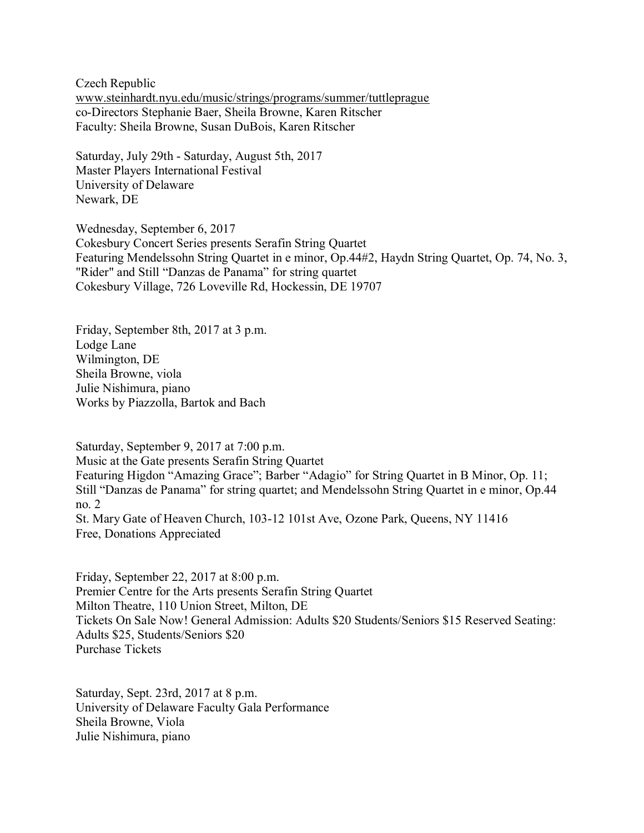Czech Republic www.steinhardt.nyu.edu/music/strings/programs/summer/tuttleprague co-Directors Stephanie Baer, Sheila Browne, Karen Ritscher Faculty: Sheila Browne, Susan DuBois, Karen Ritscher

Saturday, July 29th - Saturday, August 5th, 2017 Master Players International Festival University of Delaware Newark, DE

Wednesday, September 6, 2017 Cokesbury Concert Series presents Serafin String Quartet Featuring Mendelssohn String Quartet in e minor, Op.44#2, Haydn String Quartet, Op. 74, No. 3, "Rider" and Still "Danzas de Panama" for string quartet Cokesbury Village, 726 Loveville Rd, Hockessin, DE 19707

Friday, September 8th, 2017 at 3 p.m. Lodge Lane Wilmington, DE Sheila Browne, viola Julie Nishimura, piano Works by Piazzolla, Bartok and Bach

Saturday, September 9, 2017 at 7:00 p.m. Music at the Gate presents Serafin String Quartet Featuring Higdon "Amazing Grace"; Barber "Adagio" for String Quartet in B Minor, Op. 11; Still "Danzas de Panama" for string quartet; and Mendelssohn String Quartet in e minor, Op.44 no. 2 St. Mary Gate of Heaven Church, 103-12 101st Ave, Ozone Park, Queens, NY 11416 Free, Donations Appreciated

Friday, September 22, 2017 at 8:00 p.m. Premier Centre for the Arts [presents](http://www.pcade.com/) Serafin String Quartet Milton Theatre, 110 Union Street, Milton, DE Tickets On Sale Now! General Admission: Adults \$20 Students/Seniors \$15 Reserved Seating: Adults \$25, Students/Seniors \$20 [Purchase](https://www.ticketfly.com/purchase/event/1499745?_ga=2.191823725.691497727.1496670181-683542998.1496670179) Tickets

Saturday, Sept. 23rd, 2017 at 8 p.m. University of Delaware Faculty Gala Performance Sheila Browne, Viola Julie Nishimura, piano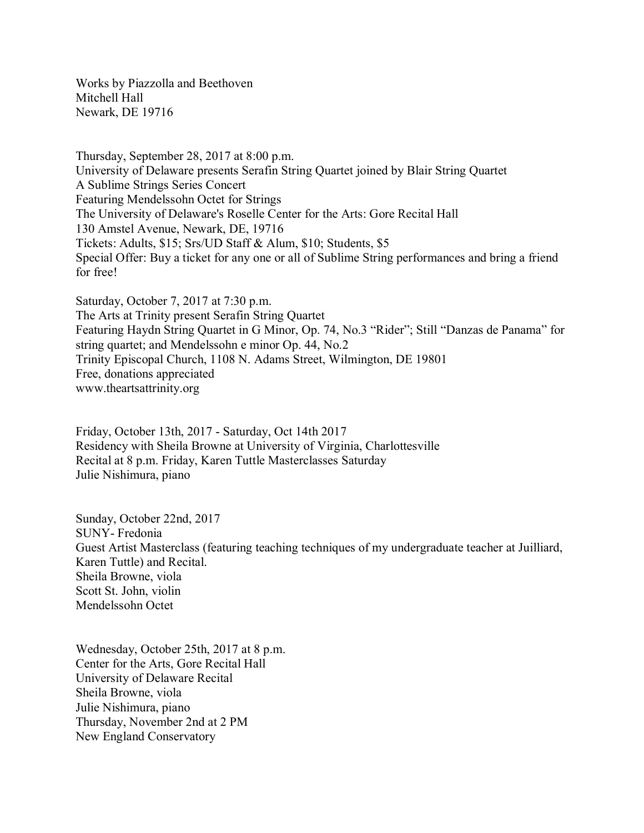Works by Piazzolla and Beethoven Mitchell Hall Newark, DE 19716

Thursday, September 28, 2017 at 8:00 p.m. [University](http://www.music.udel.edu/) of Delaware presents Serafin String Quartet joined by Blair String Quartet A Sublime Strings Series Concert Featuring Mendelssohn Octet for Strings The University of Delaware's Roselle Center for the Arts: Gore Recital Hall 130 Amstel Avenue, Newark, DE, 19716 Tickets: Adults, \$15; Srs/UD Staff & Alum, \$10; Students, \$5 Special Offer: Buy a ticket for any one or all of Sublime String performances and bring a friend for free!

Saturday, October 7, 2017 at 7:30 p.m. The Arts at Trinity present Serafin String [Quartet](http://theartsattrinity.org/) Featuring Haydn String Quartet in G Minor, Op. 74, No.3 "Rider"; Still "Danzas de Panama" for string quartet; and Mendelssohn e minor Op. 44, No.2 Trinity Episcopal Church, 1108 N. Adams Street, Wilmington, DE 19801 Free, donations appreciated [www.theartsattrinity.org](http://www.theartsattrinity.org/)

Friday, October 13th, 2017 - Saturday, Oct 14th 2017 Residency with Sheila Browne at University of Virginia, Charlottesville Recital at 8 p.m. Friday, Karen Tuttle Masterclasses Saturday Julie Nishimura, piano

Sunday, October 22nd, 2017 SUNY- Fredonia Guest Artist Masterclass (featuring teaching techniques of my undergraduate teacher at Juilliard, Karen Tuttle) and Recital. Sheila Browne, viola Scott St. John, violin Mendelssohn Octet

Wednesday, October 25th, 2017 at 8 p.m. Center for the Arts, Gore Recital Hall University of Delaware Recital Sheila Browne, viola Julie Nishimura, piano Thursday, November 2nd at 2 PM New England Conservatory